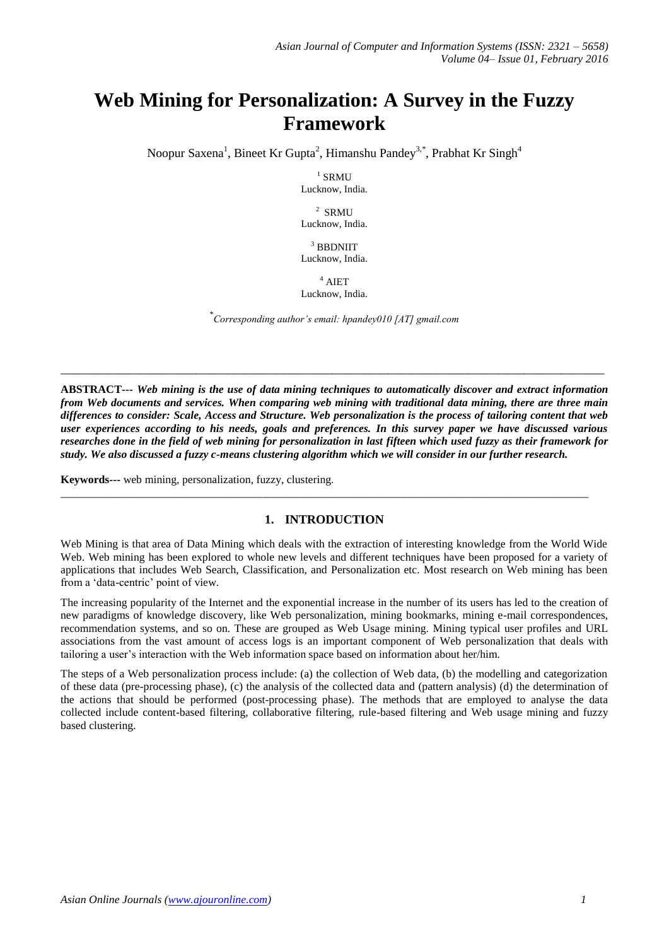# **Web Mining for Personalization: A Survey in the Fuzzy Framework**

Noopur Saxena<sup>1</sup>, Bineet Kr Gupta<sup>2</sup>, Himanshu Pandey<sup>3,\*</sup>, Prabhat Kr Singh<sup>4</sup>

 $1$  SRMU Lucknow, India.

2 SRMU Lucknow, India.

 $3$  BBDNIIT Lucknow, India.

 $4$  AIET Lucknow, India.

\* *Corresponding author's email: hpandey010 [AT] gmail.com*

**\_\_\_\_\_\_\_\_\_\_\_\_\_\_\_\_\_\_\_\_\_\_\_\_\_\_\_\_\_\_\_\_\_\_\_\_\_\_\_\_\_\_\_\_\_\_\_\_\_\_\_\_\_\_\_\_\_\_\_\_\_\_\_\_\_\_\_\_\_\_\_\_\_\_\_\_\_\_\_\_\_\_\_\_\_\_\_\_**

**ABSTRACT---** *Web mining is the use of data mining techniques to automatically discover and extract information from Web documents and services. When comparing web mining with traditional data mining, there are three main differences to consider: Scale, Access and Structure. Web personalization is the process of tailoring content that web user experiences according to his needs, goals and preferences. In this survey paper we have discussed various researches done in the field of web mining for personalization in last fifteen which used fuzzy as their framework for study. We also discussed a fuzzy c-means clustering algorithm which we will consider in our further research.*

**Keywords---** web mining, personalization, fuzzy, clustering.

## **1. INTRODUCTION**

\_\_\_\_\_\_\_\_\_\_\_\_\_\_\_\_\_\_\_\_\_\_\_\_\_\_\_\_\_\_\_\_\_\_\_\_\_\_\_\_\_\_\_\_\_\_\_\_\_\_\_\_\_\_\_\_\_\_\_\_\_\_\_\_\_\_\_\_\_\_\_\_\_\_\_\_\_\_\_\_\_\_\_\_\_\_\_\_\_\_\_\_\_\_

Web Mining is that area of Data Mining which deals with the extraction of interesting knowledge from the World Wide Web. Web mining has been explored to whole new levels and different techniques have been proposed for a variety of applications that includes Web Search, Classification, and Personalization etc. Most research on Web mining has been from a 'data-centric' point of view.

The increasing popularity of the Internet and the exponential increase in the number of its users has led to the creation of new paradigms of knowledge discovery, like Web personalization, mining bookmarks, mining e-mail correspondences, recommendation systems, and so on. These are grouped as Web Usage mining. Mining typical user profiles and URL associations from the vast amount of access logs is an important component of Web personalization that deals with tailoring a user's interaction with the Web information space based on information about her/him.

The steps of a Web personalization process include: (a) the collection of Web data, (b) the modelling and categorization of these data (pre-processing phase), (c) the analysis of the collected data and (pattern analysis) (d) the determination of the actions that should be performed (post-processing phase). The methods that are employed to analyse the data collected include content-based filtering, collaborative filtering, rule-based filtering and Web usage mining and fuzzy based clustering.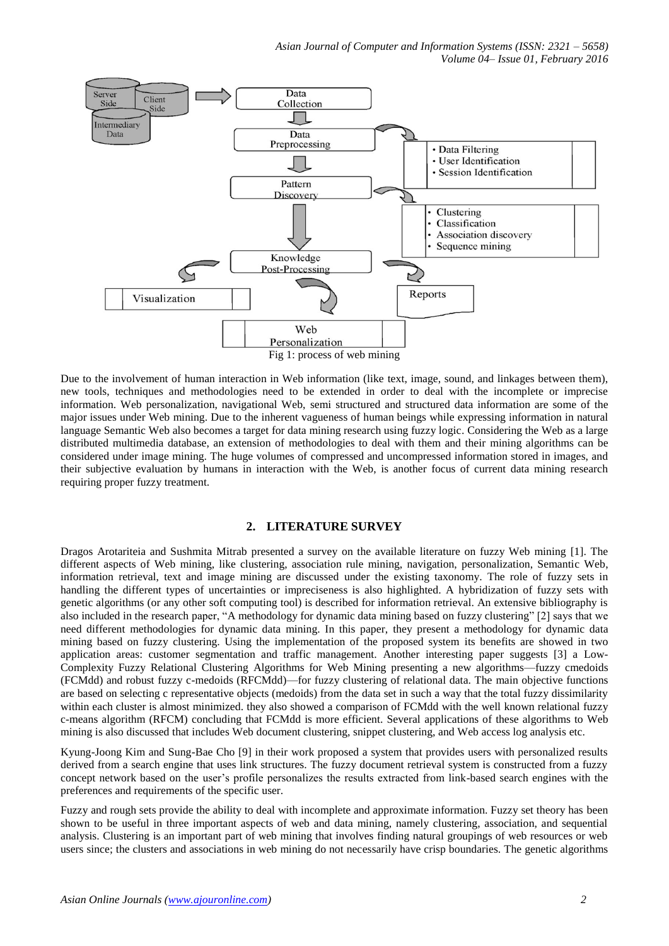

Due to the involvement of human interaction in Web information (like text, image, sound, and linkages between them), new tools, techniques and methodologies need to be extended in order to deal with the incomplete or imprecise information. Web personalization, navigational Web, semi structured and structured data information are some of the major issues under Web mining. Due to the inherent vagueness of human beings while expressing information in natural language Semantic Web also becomes a target for data mining research using fuzzy logic. Considering the Web as a large distributed multimedia database, an extension of methodologies to deal with them and their mining algorithms can be considered under image mining. The huge volumes of compressed and uncompressed information stored in images, and their subjective evaluation by humans in interaction with the Web, is another focus of current data mining research requiring proper fuzzy treatment.

#### **2. LITERATURE SURVEY**

Dragos Arotariteia and Sushmita Mitrab presented a survey on the available literature on fuzzy Web mining [1]. The different aspects of Web mining, like clustering, association rule mining, navigation, personalization, Semantic Web, information retrieval, text and image mining are discussed under the existing taxonomy. The role of fuzzy sets in handling the different types of uncertainties or impreciseness is also highlighted. A hybridization of fuzzy sets with genetic algorithms (or any other soft computing tool) is described for information retrieval. An extensive bibliography is also included in the research paper, "A methodology for dynamic data mining based on fuzzy clustering" [2] says that we need different methodologies for dynamic data mining. In this paper, they present a methodology for dynamic data mining based on fuzzy clustering. Using the implementation of the proposed system its benefits are showed in two application areas: customer segmentation and traffic management. Another interesting paper suggests [3] a Low-Complexity Fuzzy Relational Clustering Algorithms for Web Mining presenting a new algorithms—fuzzy cmedoids (FCMdd) and robust fuzzy c-medoids (RFCMdd)—for fuzzy clustering of relational data. The main objective functions are based on selecting c representative objects (medoids) from the data set in such a way that the total fuzzy dissimilarity within each cluster is almost minimized, they also showed a comparison of FCMdd with the well known relational fuzzy c-means algorithm (RFCM) concluding that FCMdd is more efficient. Several applications of these algorithms to Web mining is also discussed that includes Web document clustering, snippet clustering, and Web access log analysis etc.

Kyung-Joong Kim and Sung-Bae Cho [9] in their work proposed a system that provides users with personalized results derived from a search engine that uses link structures. The fuzzy document retrieval system is constructed from a fuzzy concept network based on the user's profile personalizes the results extracted from link-based search engines with the preferences and requirements of the specific user.

Fuzzy and rough sets provide the ability to deal with incomplete and approximate information. Fuzzy set theory has been shown to be useful in three important aspects of web and data mining, namely clustering, association, and sequential analysis. Clustering is an important part of web mining that involves finding natural groupings of web resources or web users since; the clusters and associations in web mining do not necessarily have crisp boundaries. The genetic algorithms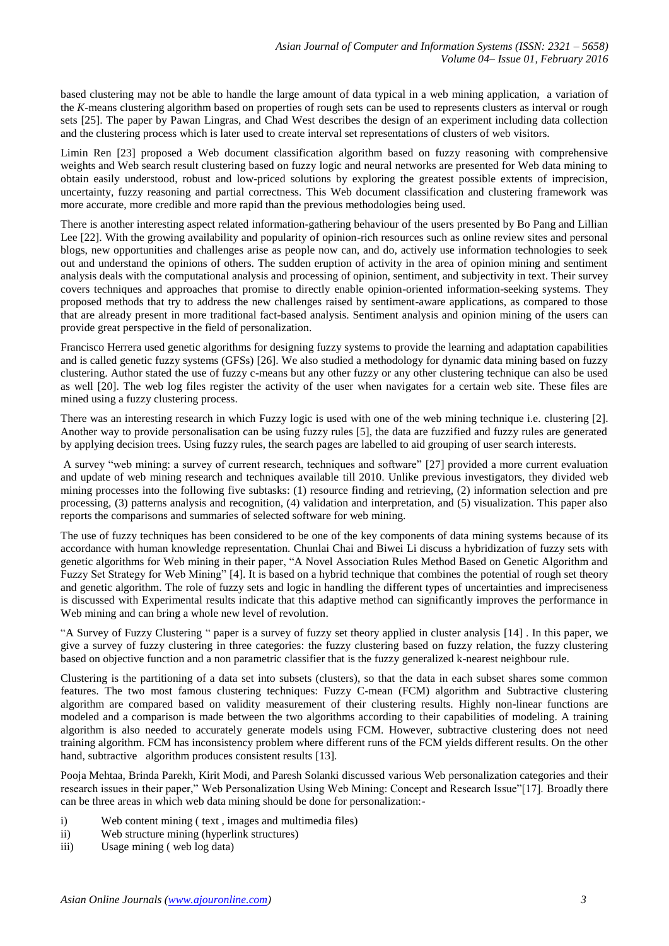based clustering may not be able to handle the large amount of data typical in a web mining application, a variation of the *K*-means clustering algorithm based on properties of rough sets can be used to represents clusters as interval or rough sets [25]. The paper by Pawan [Lingras,](http://link.springer.com/search?facet-creator=%22Pawan+Lingras%22) and [Chad](http://link.springer.com/search?facet-creator=%22Chad+West%22) West describes the design of an experiment including data collection and the clustering process which is later used to create interval set representations of clusters of web visitors.

Limin Ren [23] proposed a Web document classification algorithm based on fuzzy reasoning with comprehensive weights and Web search result clustering based on fuzzy logic and neural networks are presented for Web data mining to obtain easily understood, robust and low-priced solutions by exploring the greatest possible extents of imprecision, uncertainty, fuzzy reasoning and partial correctness. This Web document classification and clustering framework was more accurate, more credible and more rapid than the previous methodologies being used.

There is another interesting aspect related information-gathering behaviour of the users presented by Bo Pang and Lillian Lee [22]. With the growing availability and popularity of opinion-rich resources such as online review sites and personal blogs, new opportunities and challenges arise as people now can, and do, actively use information technologies to seek out and understand the opinions of others. The sudden eruption of activity in the area of opinion mining and sentiment analysis deals with the computational analysis and processing of opinion, sentiment, and subjectivity in text. Their survey covers techniques and approaches that promise to directly enable opinion-oriented information-seeking systems. They proposed methods that try to address the new challenges raised by sentiment-aware applications, as compared to those that are already present in more traditional fact-based analysis. Sentiment analysis and opinion mining of the users can provide great perspective in the field of personalization.

[Francisco](http://link.springer.com/search?facet-creator=%22Francisco+Herrera%22) Herrera used genetic algorithms for designing fuzzy systems to provide the learning and adaptation capabilities and is called genetic fuzzy systems (GFSs) [26]. We also studied a methodology for dynamic data mining based on fuzzy clustering. Author stated the use of fuzzy c-means but any other fuzzy or any other clustering technique can also be used as well [20]. The web log files register the activity of the user when navigates for a certain web site. These files are mined using a fuzzy clustering process.

There was an interesting research in which Fuzzy logic is used with one of the web mining technique i.e. clustering [2]. Another way to provide personalisation can be using fuzzy rules [5], the data are fuzzified and fuzzy rules are generated by applying decision trees. Using fuzzy rules, the search pages are labelled to aid grouping of user search interests.

A survey "web mining: a survey of current research, techniques and software" [27] provided a more current evaluation and update of web mining research and techniques available till 2010. Unlike previous investigators, they divided web mining processes into the following five subtasks: (1) resource finding and retrieving, (2) information selection and pre processing, (3) patterns analysis and recognition, (4) validation and interpretation, and (5) visualization. This paper also reports the comparisons and summaries of selected software for web mining.

The use of fuzzy techniques has been considered to be one of the key components of data mining systems because of its accordance with human knowledge representation. Chunlai Chai and Biwei Li discuss a hybridization of fuzzy sets with genetic algorithms for Web mining in their paper, "A Novel Association Rules Method Based on Genetic Algorithm and Fuzzy Set Strategy for Web Mining" [4]. It is based on a hybrid technique that combines the potential of rough set theory and genetic algorithm. The role of fuzzy sets and logic in handling the different types of uncertainties and impreciseness is discussed with Experimental results indicate that this adaptive method can significantly improves the performance in Web mining and can bring a whole new level of revolution.

―A Survey of Fuzzy Clustering ― paper is a survey of fuzzy set theory applied in cluster analysis [14] . In this paper, we give a survey of fuzzy clustering in three categories: the fuzzy clustering based on fuzzy relation, the fuzzy clustering based on objective function and a non parametric classifier that is the fuzzy generalized k-nearest neighbour rule.

Clustering is the partitioning of a data set into subsets (clusters), so that the data in each subset shares some common features. The two most famous clustering techniques: Fuzzy C-mean (FCM) algorithm and Subtractive clustering algorithm are compared based on validity measurement of their clustering results. Highly non-linear functions are modeled and a comparison is made between the two algorithms according to their capabilities of modeling. A training algorithm is also needed to accurately generate models using FCM. However, subtractive clustering does not need training algorithm. FCM has inconsistency problem where different runs of the FCM yields different results. On the other hand, subtractive algorithm produces consistent results [13].

Pooja Mehtaa, Brinda Parekh, Kirit Modi, and Paresh Solanki discussed various Web personalization categories and their research issues in their paper," Web Personalization Using Web Mining: Concept and Research Issue"[17]. Broadly there can be three areas in which web data mining should be done for personalization:-

- i) Web content mining ( text , images and multimedia files)
- ii) Web structure mining (hyperlink structures)
- iii) Usage mining ( web log data)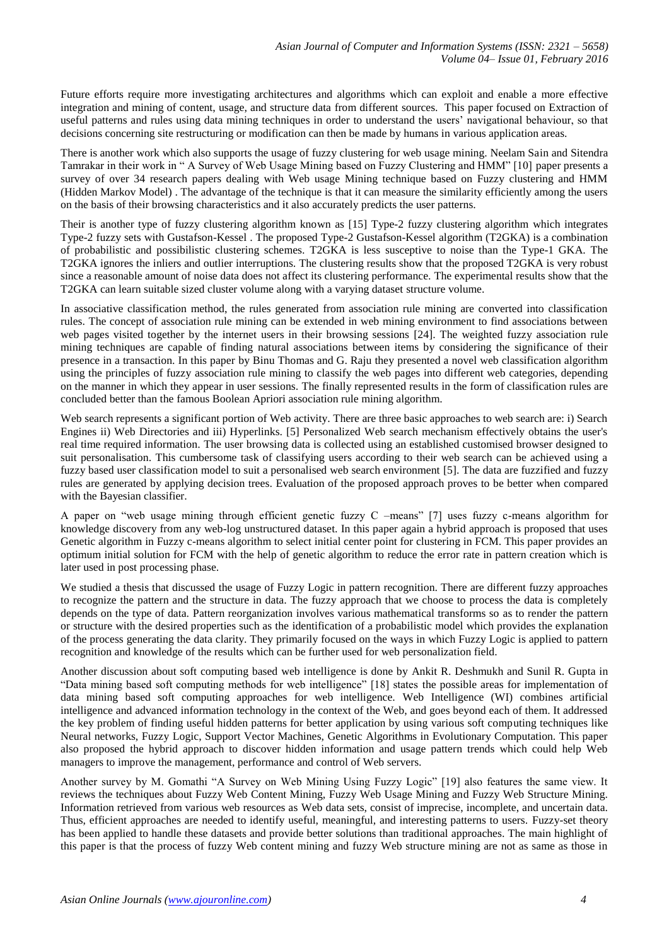Future efforts require more investigating architectures and algorithms which can exploit and enable a more effective integration and mining of content, usage, and structure data from different sources. This paper focused on Extraction of useful patterns and rules using data mining techniques in order to understand the users' navigational behaviour, so that decisions concerning site restructuring or modification can then be made by humans in various application areas.

There is another work which also supports the usage of fuzzy clustering for web usage mining. Neelam Sain and Sitendra Tamrakar in their work in "A Survey of Web Usage Mining based on Fuzzy Clustering and HMM" [10] paper presents a survey of over 34 research papers dealing with Web usage Mining technique based on Fuzzy clustering and HMM (Hidden Markov Model) . The advantage of the technique is that it can measure the similarity efficiently among the users on the basis of their browsing characteristics and it also accurately predicts the user patterns.

Their is another type of fuzzy clustering algorithm known as [15] Type-2 fuzzy clustering algorithm which integrates Type-2 fuzzy sets with Gustafson-Kessel . The proposed Type-2 Gustafson-Kessel algorithm (T2GKA) is a combination of probabilistic and possibilistic clustering schemes. T2GKA is less susceptive to noise than the Type-1 GKA. The T2GKA ignores the inliers and outlier interruptions. The clustering results show that the proposed T2GKA is very robust since a reasonable amount of noise data does not affect its clustering performance. The experimental results show that the T2GKA can learn suitable sized cluster volume along with a varying dataset structure volume.

In associative classification method, the rules generated from association rule mining are converted into classification rules. The concept of association rule mining can be extended in web mining environment to find associations between web pages visited together by the internet users in their browsing sessions [24]. The weighted fuzzy association rule mining techniques are capable of finding natural associations between items by considering the significance of their presence in a transaction. In this paper by Binu Thomas and G. Raju they presented a novel web classification algorithm using the principles of fuzzy association rule mining to classify the web pages into different web categories, depending on the manner in which they appear in user sessions. The finally represented results in the form of classification rules are concluded better than the famous Boolean Apriori association rule mining algorithm.

Web search represents a significant portion of Web activity. There are three basic approaches to web search are: i) Search Engines ii) Web Directories and iii) Hyperlinks. [5] Personalized Web search mechanism effectively obtains the user's real time required information. The user browsing data is collected using an established customised browser designed to suit personalisation. This cumbersome task of classifying users according to their web search can be achieved using a fuzzy based user classification model to suit a personalised web search environment [5]. The data are fuzzified and fuzzy rules are generated by applying decision trees. Evaluation of the proposed approach proves to be better when compared with the Bayesian classifier.

A paper on "web usage mining through efficient genetic fuzzy  $C$  –means" [7] uses fuzzy c-means algorithm for knowledge discovery from any web-log unstructured dataset. In this paper again a hybrid approach is proposed that uses Genetic algorithm in Fuzzy c-means algorithm to select initial center point for clustering in FCM. This paper provides an optimum initial solution for FCM with the help of genetic algorithm to reduce the error rate in pattern creation which is later used in post processing phase.

We studied a thesis that discussed the usage of Fuzzy Logic in pattern recognition. There are different fuzzy approaches to recognize the pattern and the structure in data. The fuzzy approach that we choose to process the data is completely depends on the type of data. Pattern reorganization involves various mathematical transforms so as to render the pattern or structure with the desired properties such as the identification of a probabilistic model which provides the explanation of the process generating the data clarity. They primarily focused on the ways in which Fuzzy Logic is applied to pattern recognition and knowledge of the results which can be further used for web personalization field.

Another discussion about soft computing based web intelligence is done by Ankit R. Deshmukh and Sunil R. Gupta in ―Data mining based soft computing methods for web intelligence‖ [18] states the possible areas for implementation of data mining based soft computing approaches for web intelligence. Web Intelligence (WI) combines artificial intelligence and advanced information technology in the context of the Web, and goes beyond each of them. It addressed the key problem of finding useful hidden patterns for better application by using various soft computing techniques like Neural networks, Fuzzy Logic, Support Vector Machines, Genetic Algorithms in Evolutionary Computation. This paper also proposed the hybrid approach to discover hidden information and usage pattern trends which could help Web managers to improve the management, performance and control of Web servers.

Another survey by M. Gomathi "A Survey on Web Mining Using Fuzzy Logic" [19] also features the same view. It reviews the techniques about Fuzzy Web Content Mining, Fuzzy Web Usage Mining and Fuzzy Web Structure Mining. Information retrieved from various web resources as Web data sets, consist of imprecise, incomplete, and uncertain data. Thus, efficient approaches are needed to identify useful, meaningful, and interesting patterns to users. Fuzzy-set theory has been applied to handle these datasets and provide better solutions than traditional approaches. The main highlight of this paper is that the process of fuzzy Web content mining and fuzzy Web structure mining are not as same as those in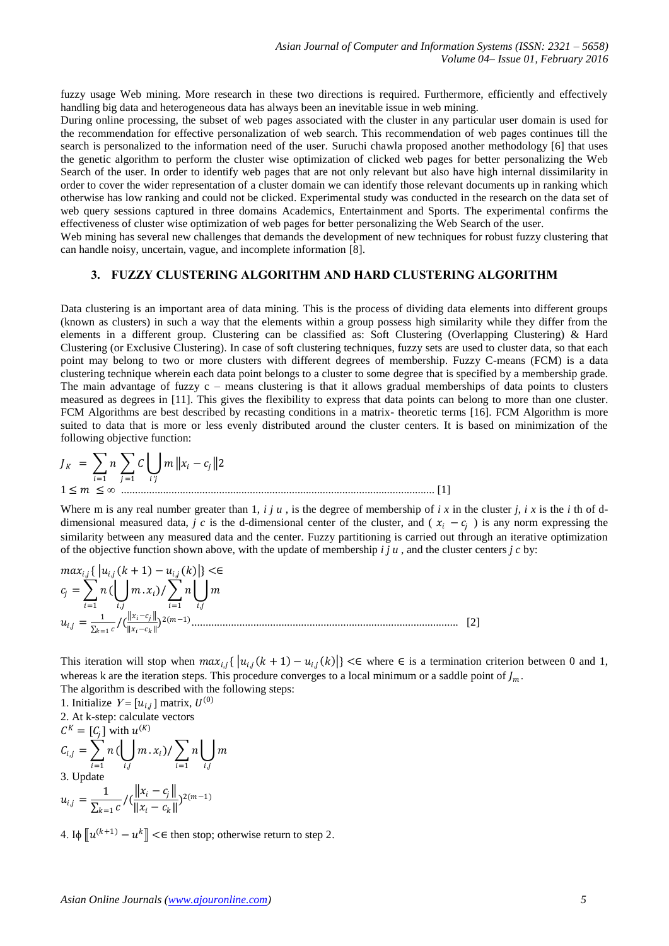fuzzy usage Web mining. More research in these two directions is required. Furthermore, efficiently and effectively handling big data and heterogeneous data has always been an inevitable issue in web mining.

During online processing, the subset of web pages associated with the cluster in any particular user domain is used for the recommendation for effective personalization of web search. This recommendation of web pages continues till the search is personalized to the information need of the user. Suruchi chawla proposed another methodology [6] that uses the genetic algorithm to perform the cluster wise optimization of clicked web pages for better personalizing the Web Search of the user. In order to identify web pages that are not only relevant but also have high internal dissimilarity in order to cover the wider representation of a cluster domain we can identify those relevant documents up in ranking which otherwise has low ranking and could not be clicked. Experimental study was conducted in the research on the data set of web query sessions captured in three domains Academics, Entertainment and Sports. The experimental confirms the effectiveness of cluster wise optimization of web pages for better personalizing the Web Search of the user.

Web mining has several new challenges that demands the development of new techniques for robust fuzzy clustering that can handle noisy, uncertain, vague, and incomplete information [8].

### **3. FUZZY CLUSTERING ALGORITHM AND HARD CLUSTERING ALGORITHM**

Data clustering is an important area of data mining. This is the process of dividing data elements into different groups (known as clusters) in such a way that the elements within a group possess high similarity while they differ from the elements in a different group. Clustering can be classified as: Soft Clustering (Overlapping Clustering) & Hard Clustering (or Exclusive Clustering). In case of soft clustering techniques, fuzzy sets are used to cluster data, so that each point may belong to two or more clusters with different degrees of membership. Fuzzy C-means (FCM) is a data clustering technique wherein each data point belongs to a cluster to some degree that is specified by a membership grade. The main advantage of fuzzy c – means clustering is that it allows gradual memberships of data points to clusters measured as degrees in [11]. This gives the flexibility to express that data points can belong to more than one cluster. FCM Algorithms are best described by recasting conditions in a matrix- theoretic terms [16]. FCM Algorithm is more suited to data that is more or less evenly distributed around the cluster centers. It is based on minimization of the following objective function:

$$
J_K = \sum_{i=1}^n n \sum_{j=1}^n C \bigcup_{i'j} m \|x_i - c_j\| 2
$$
  
1 \le m \le \infty 1.1 [1]

Where m is any real number greater than 1,  $i j u$ , is the degree of membership of  $i x$  in the cluster  $j$ ,  $i x$  is the  $i$  th of ddimensional measured data, *j c* is the d-dimensional center of the cluster, and ( $x_i - c_j$ ) is any norm expressing the similarity between any measured data and the center. Fuzzy partitioning is carried out through an iterative optimization of the objective function shown above, with the update of membership  $i \, j \, u$ , and the cluster centers  $j \, c$  by:

, { , +1 −, } <∈ = =1 ( , . )/ =1 , , = 1 =1 /( − − ) 2(−1) ............................................................................................... [2]

This iteration will stop when  $max_{i,j} \{ |u_{i,j}(k+1) - u_{i,j}(k)| \} < \epsilon$  where  $\epsilon$  is a termination criterion between 0 and 1, whereas k are the iteration steps. This procedure converges to a local minimum or a saddle point of  $J_m$ . The algorithm is described with the following steps:

1. Initialize  $Y = [u_{i,j}]$  matrix,  $U^{(0)}$ 2. At k-step: calculate vectors  $C^K = [C_j]$  with  $u^{(K)}$  $C_{i,j} = \sum_{i=1}^{n} n_i$  $i=1$  $\left( \left| \right| \right)$  $i,j$  $(x_i)/\sum n$  $i=1$  $\lfloor$  | m  $i=1$   $i,j$   $i=1$   $i,j$ <br>3. Update  $u_{i,j} = \frac{1}{\nabla_i}$  $\frac{1}{\sum_{k=1} c}$  /  $\left(\frac{\|x_i - c_j\|}{\|x_i - c_k\|}\right)$  $\frac{\|x_i - y\|}{\|x_i - c_k\|} 2(m-1)$ 

4. I $\phi$   $\lbrack u^{(k+1)} - u^k \rbrack$  <∈ then stop; otherwise return to step 2.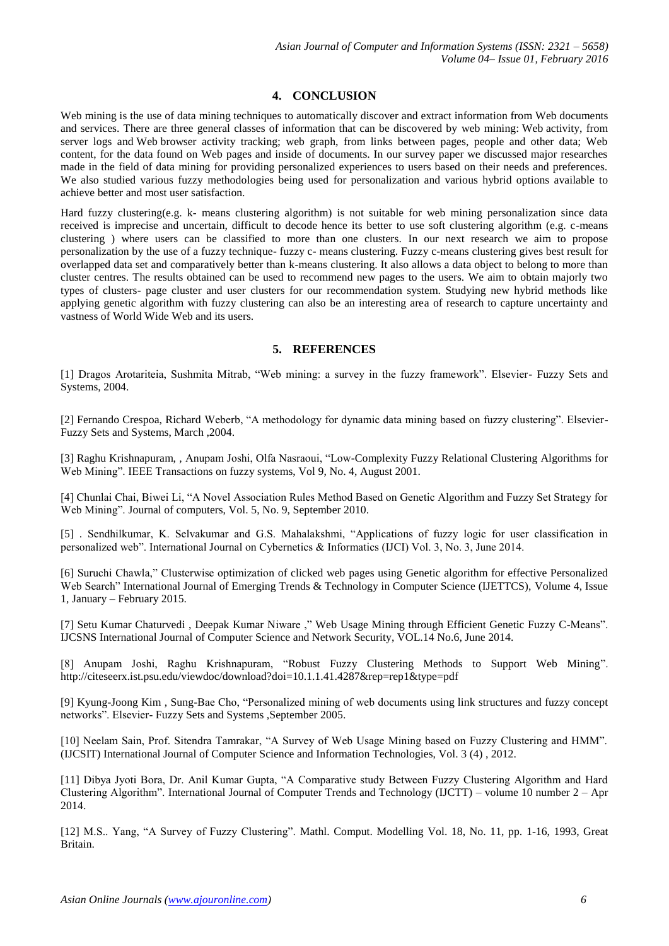## **4. CONCLUSION**

Web mining is the use of data mining techniques to automatically discover and extract information from Web documents and services. There are three general classes of information that can be discovered by web mining: Web activity, from server logs and Web browser activity tracking; web graph, from links between pages, people and other data; Web content, for the data found on Web pages and inside of documents. In our survey paper we discussed major researches made in the field of data mining for providing personalized experiences to users based on their needs and preferences. We also studied various fuzzy methodologies being used for personalization and various hybrid options available to achieve better and most user satisfaction.

Hard fuzzy clustering(e.g. k- means clustering algorithm) is not suitable for web mining personalization since data received is imprecise and uncertain, difficult to decode hence its better to use soft clustering algorithm (e.g. c-means clustering ) where users can be classified to more than one clusters. In our next research we aim to propose personalization by the use of a fuzzy technique- fuzzy c- means clustering. Fuzzy c-means clustering gives best result for overlapped data set and comparatively better than k-means clustering. It also allows a data object to belong to more than cluster centres. The results obtained can be used to recommend new pages to the users. We aim to obtain majorly two types of clusters- page cluster and user clusters for our recommendation system. Studying new hybrid methods like applying genetic algorithm with fuzzy clustering can also be an interesting area of research to capture uncertainty and vastness of World Wide Web and its users.

### **5. REFERENCES**

[1] Dragos Arotariteia, Sushmita Mitrab, "Web mining: a survey in the fuzzy framework". Elsevier- Fuzzy Sets and Systems, 2004.

[2] Fernando Crespoa, Richard Weberb, "A methodology for dynamic data mining based on fuzzy clustering". Elsevier-Fuzzy Sets and Systems, March ,2004.

[3] Raghu Krishnapuram, , Anupam Joshi, Olfa Nasraoui, "Low-Complexity Fuzzy Relational Clustering Algorithms for Web Mining". IEEE Transactions on fuzzy systems, Vol 9, No. 4, August 2001.

[4] Chunlai Chai, Biwei Li, "A Novel Association Rules Method Based on Genetic Algorithm and Fuzzy Set Strategy for Web Mining". Journal of computers, Vol. 5, No. 9, September 2010.

[5] . Sendhilkumar, K. Selvakumar and G.S. Mahalakshmi, "Applications of fuzzy logic for user classification in personalized web". International Journal on Cybernetics & Informatics (IJCI) Vol. 3, No. 3, June 2014.

[6] Suruchi Chawla," Clusterwise optimization of clicked web pages using Genetic algorithm for effective Personalized Web Search" International Journal of Emerging Trends & Technology in Computer Science (IJETTCS), Volume 4, Issue 1, January – February 2015.

[7] Setu Kumar Chaturvedi, Deepak Kumar Niware," Web Usage Mining through Efficient Genetic Fuzzy C-Means". IJCSNS International Journal of Computer Science and Network Security, VOL.14 No.6, June 2014.

[8] Anupam Joshi, Raghu Krishnapuram, "Robust Fuzzy Clustering Methods to Support Web Mining". <http://citeseerx.ist.psu.edu/viewdoc/download?doi=10.1.1.41.4287&rep=rep1&type=pdf>

[9] Kyung-Joong Kim, Sung-Bae Cho, "Personalized mining of web documents using link structures and fuzzy concept networks". Elsevier- Fuzzy Sets and Systems ,September 2005.

[10] Neelam Sain, Prof. Sitendra Tamrakar, "A Survey of Web Usage Mining based on Fuzzy Clustering and HMM". (IJCSIT) International Journal of Computer Science and Information Technologies, Vol. 3 (4) , 2012.

[11] Dibya Jyoti Bora, Dr. Anil Kumar Gupta, "A Comparative study Between Fuzzy Clustering Algorithm and Hard Clustering Algorithm". International Journal of Computer Trends and Technology (IJCTT) – volume 10 number 2 – Apr 2014.

[12] M.S., Yang, "A Survey of Fuzzy Clustering", Mathl. Comput. Modelling Vol. 18, No. 11, pp. 1-16, 1993, Great Britain.